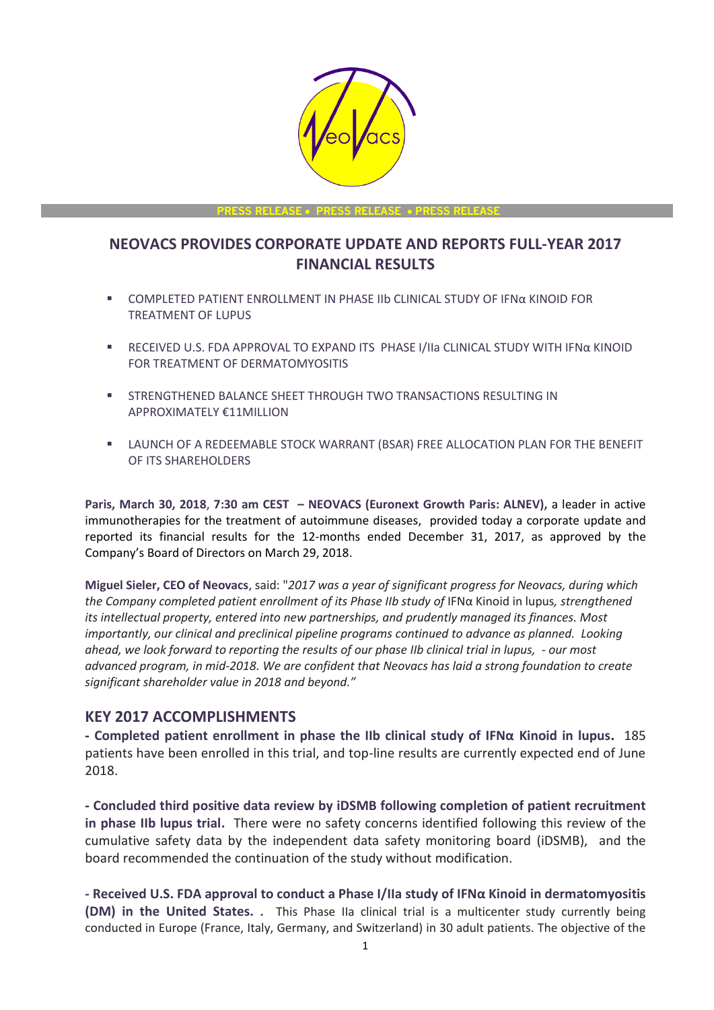

**PRESS RELEASE** • **PRESS RELEASE** • **PRESS RELEASE**

# **NEOVACS PROVIDES CORPORATE UPDATE AND REPORTS FULL-YEAR 2017 FINANCIAL RESULTS**

- COMPLETED PATIENT ENROLLMENT IN PHASE IIb CLINICAL STUDY OF IFNα KINOID FOR TREATMENT OF LUPUS
- RECEIVED U.S. FDA APPROVAL TO EXPAND ITS PHASE I/IIa CLINICAL STUDY WITH IFNα KINOID FOR TREATMENT OF DERMATOMYOSITIS
- **EXECUTE IN STRENGTHENED BALANCE SHEET THROUGH TWO TRANSACTIONS RESULTING IN** APPROXIMATELY €11MILLION
- **EXECTS LAUNCH OF A REDEEMABLE STOCK WARRANT (BSAR) FREE ALLOCATION PLAN FOR THE BENEFIT** OF ITS SHAREHOLDERS

**Paris, March 30, 2018**, **7:30 am CEST – NEOVACS (Euronext Growth Paris: ALNEV),** a leader in active immunotherapies for the treatment of autoimmune diseases, provided today a corporate update and reported its financial results for the 12-months ended December 31, 2017, as approved by the Company's Board of Directors on March 29, 2018.

**Miguel Sieler, CEO of Neovacs**, said: "*2017 was a year of significant progress for Neovacs, during which the Company completed patient enrollment of its Phase IIb study of* IFNα Kinoid in lupus*, strengthened its intellectual property, entered into new partnerships, and prudently managed its finances. Most importantly, our clinical and preclinical pipeline programs continued to advance as planned. Looking ahead, we look forward to reporting the results of our phase IIb clinical trial in lupus, - our most advanced program, in mid-2018. We are confident that Neovacs has laid a strong foundation to create significant shareholder value in 2018 and beyond."*

#### **KEY 2017 ACCOMPLISHMENTS**

**- Completed patient enrollment in phase the IIb clinical study of IFNα Kinoid in lupus.** 185 patients have been enrolled in this trial, and top-line results are currently expected end of June 2018.

**- Concluded third positive data review by iDSMB following completion of patient recruitment in phase IIb lupus trial.** There were no safety concerns identified following this review of the cumulative safety data by the independent data safety monitoring board (iDSMB), and the board recommended the continuation of the study without modification.

**- Received U.S. FDA approval to conduct a Phase I/IIa study of IFNα Kinoid in dermatomyositis (DM) in the United States. .** This Phase IIa clinical trial is a multicenter study currently being conducted in Europe (France, Italy, Germany, and Switzerland) in 30 adult patients. The objective of the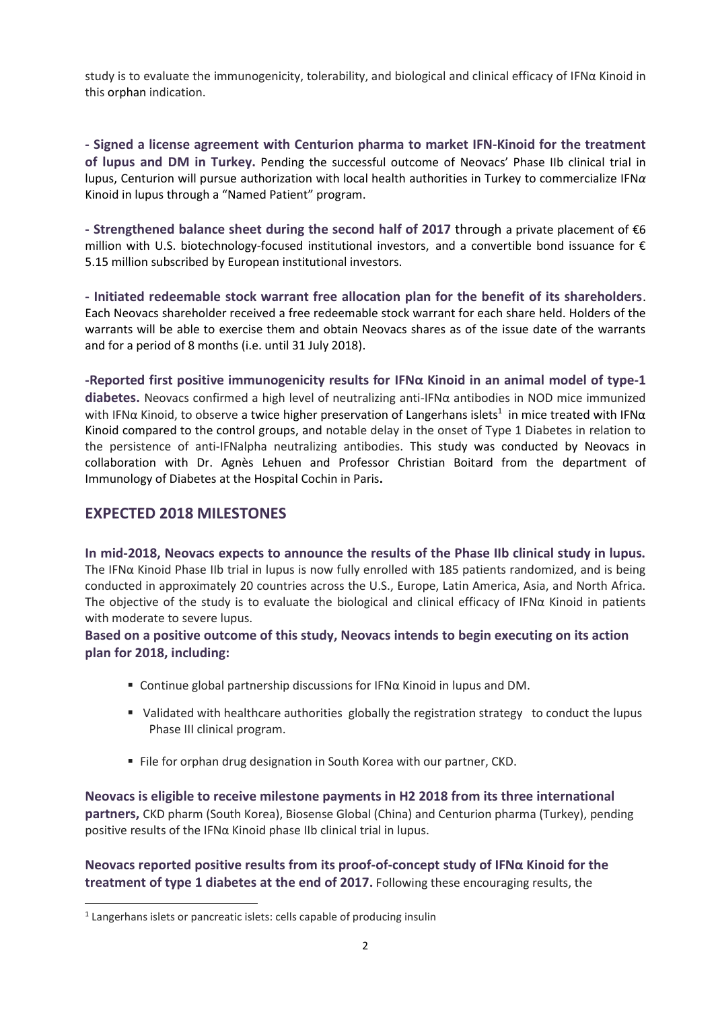study is to evaluate the immunogenicity, tolerability, and biological and clinical efficacy of IFNα Kinoid in this orphan indication.

**- Signed a license agreement with Centurion pharma to market IFN-Kinoid for the treatment of lupus and DM in Turkey.** Pending the successful outcome of Neovacs' Phase IIb clinical trial in lupus, Centurion will pursue authorization with local health authorities in Turkey to commercialize IFN*α* Kinoid in lupus through a "Named Patient" program.

**- Strengthened balance sheet during the second half of 2017** through a private placement of €6 million with U.S. biotechnology-focused institutional investors, and a convertible bond issuance for  $\epsilon$ 5.15 million subscribed by European institutional investors.

**- Initiated redeemable stock warrant free allocation plan for the benefit of its shareholders**. Each Neovacs shareholder received a free redeemable stock warrant for each share held. Holders of the warrants will be able to exercise them and obtain Neovacs shares as of the issue date of the warrants and for a period of 8 months (i.e. until 31 July 2018).

**-Reported first positive immunogenicity results for IFNα Kinoid in an animal model of type-1 diabetes.** Neovacs confirmed a high level of neutralizing anti-IFNα antibodies in NOD mice immunized with IFN $\alpha$  Kinoid, to observe a twice higher preservation of Langerhans islets<sup>1</sup> in mice treated with IFN $\alpha$ Kinoid compared to the control groups, and notable delay in the onset of Type 1 Diabetes in relation to the persistence of anti-IFNalpha neutralizing antibodies. This study was conducted by Neovacs in collaboration with Dr. Agnès Lehuen and Professor Christian Boitard from the department of Immunology of Diabetes at the Hospital Cochin in Paris**.**

## **EXPECTED 2018 MILESTONES**

 $\overline{a}$ 

**In mid-2018, Neovacs expects to announce the results of the Phase IIb clinical study in lupus.** The IFNα Kinoid Phase IIb trial in lupus is now fully enrolled with 185 patients randomized, and is being conducted in approximately 20 countries across the U.S., Europe, Latin America, Asia, and North Africa. The objective of the study is to evaluate the biological and clinical efficacy of IFN $\alpha$  Kinoid in patients with moderate to severe lupus.

**Based on a positive outcome of this study, Neovacs intends to begin executing on its action plan for 2018, including:**

- Continue global partnership discussions for IFNα Kinoid in lupus and DM.
- Validated with healthcare authorities globally the registration strategy to conduct the lupus Phase III clinical program.
- File for orphan drug designation in South Korea with our partner, CKD.

**Neovacs is eligible to receive milestone payments in H2 2018 from its three international partners,** CKD pharm (South Korea), Biosense Global (China) and Centurion pharma (Turkey), pending positive results of the IFNα Kinoid phase IIb clinical trial in lupus.

**Neovacs reported positive results from its proof-of-concept study of IFNα Kinoid for the treatment of type 1 diabetes at the end of 2017.** Following these encouraging results, the

<sup>&</sup>lt;sup>1</sup> Langerhans islets or pancreatic islets: cells capable of producing insulin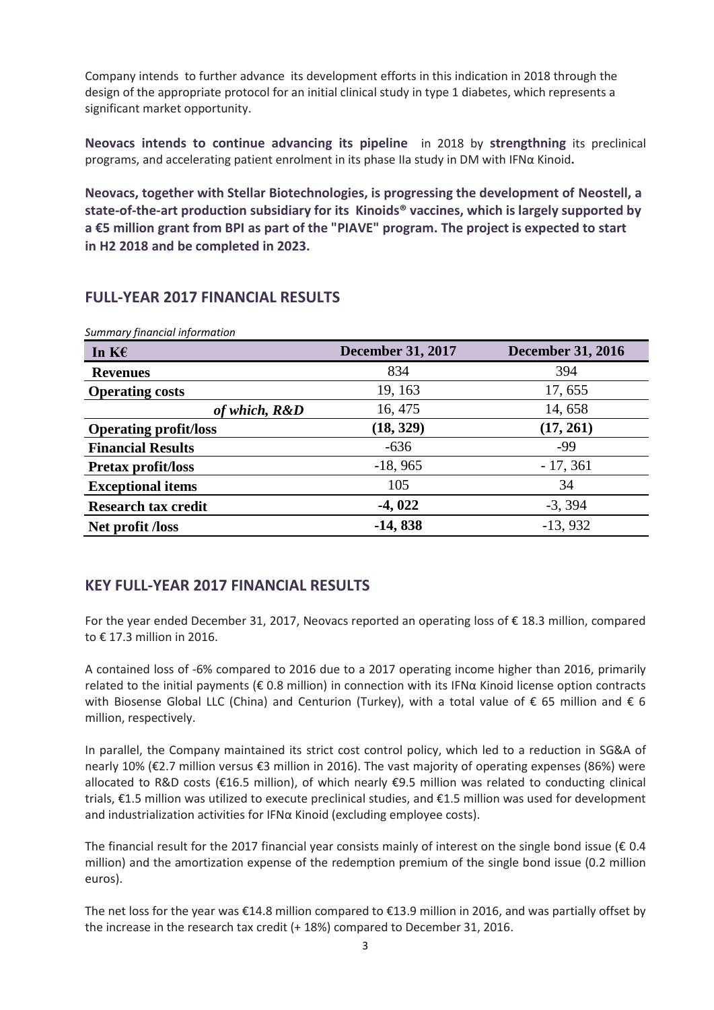Company intends to further advance its development efforts in this indication in 2018 through the design of the appropriate protocol for an initial clinical study in type 1 diabetes, which represents a significant market opportunity.

**Neovacs intends to continue advancing its pipeline** in 2018 by **strengthning** its preclinical programs, and accelerating patient enrolment in its phase IIa study in DM with IFNα Kinoid**.**

**Neovacs, together with Stellar Biotechnologies, is progressing the development of Neostell, a state-of-the-art production subsidiary for its Kinoids® vaccines, which is largely supported by a €5 million grant from BPI as part of the "PIAVE" program. The project is expected to start in H2 2018 and be completed in 2023.**

### **FULL-YEAR 2017 FINANCIAL RESULTS**

| In $K \in$                   | <b>December 31, 2017</b> | <b>December 31, 2016</b> |
|------------------------------|--------------------------|--------------------------|
| <b>Revenues</b>              | 834                      | 394                      |
| <b>Operating costs</b>       | 19, 163                  | 17, 655                  |
| of which, R&D                | 16, 475                  | 14, 658                  |
| <b>Operating profit/loss</b> | (18, 329)                | (17, 261)                |
| <b>Financial Results</b>     | $-636$                   | -99                      |
| <b>Pretax profit/loss</b>    | $-18,965$                | $-17,361$                |
| <b>Exceptional items</b>     | 105                      | 34                       |
| <b>Research tax credit</b>   | $-4,022$                 | $-3, 394$                |
| Net profit <i>Aoss</i>       | $-14,838$                | $-13,932$                |

*Summary financial information* 

## **KEY FULL-YEAR 2017 FINANCIAL RESULTS**

For the year ended December 31, 2017, Neovacs reported an operating loss of € 18.3 million, compared to € 17.3 million in 2016.

A contained loss of -6% compared to 2016 due to a 2017 operating income higher than 2016, primarily related to the initial payments (€ 0.8 million) in connection with its IFNα Kinoid license option contracts with Biosense Global LLC (China) and Centurion (Turkey), with a total value of € 65 million and € 6 million, respectively.

In parallel, the Company maintained its strict cost control policy, which led to a reduction in SG&A of nearly 10% (€2.7 million versus €3 million in 2016). The vast majority of operating expenses (86%) were allocated to R&D costs (€16.5 million), of which nearly €9.5 million was related to conducting clinical trials, €1.5 million was utilized to execute preclinical studies, and €1.5 million was used for development and industrialization activities for IFNα Kinoid (excluding employee costs).

The financial result for the 2017 financial year consists mainly of interest on the single bond issue ( $\epsilon$  0.4 million) and the amortization expense of the redemption premium of the single bond issue (0.2 million euros).

The net loss for the year was €14.8 million compared to €13.9 million in 2016, and was partially offset by the increase in the research tax credit (+ 18%) compared to December 31, 2016.